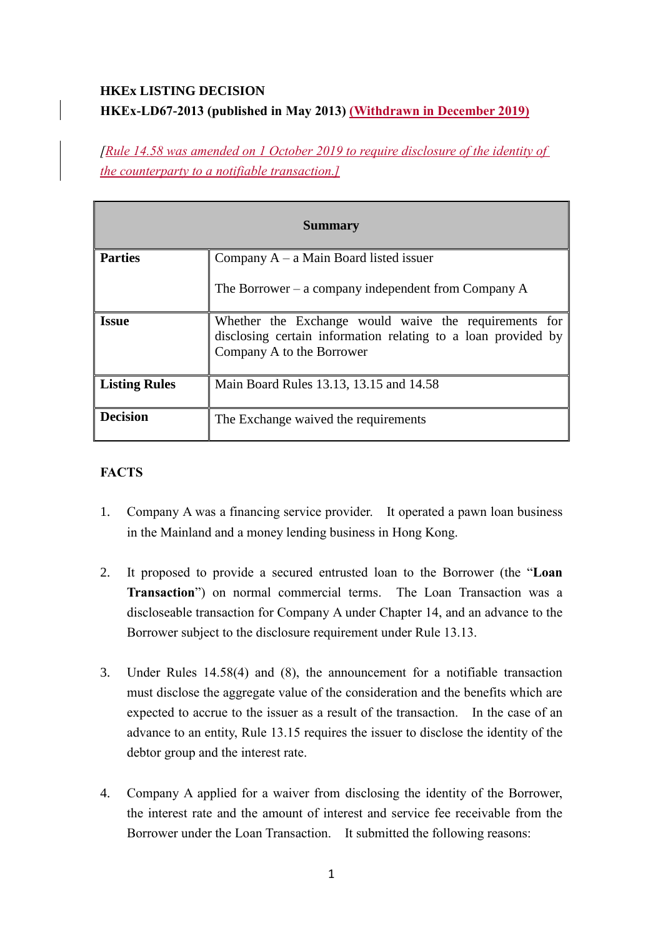# **HKEx LISTING DECISION HKEx-LD67-2013 (published in May 2013) (Withdrawn in December 2019)**

*[Rule 14.58 was amended on 1 October 2019 to require disclosure of the identity of the counterparty to a notifiable transaction.]*

| <b>Summary</b>       |                                                                                                                                                     |
|----------------------|-----------------------------------------------------------------------------------------------------------------------------------------------------|
| <b>Parties</b>       | Company $A - a$ Main Board listed issuer                                                                                                            |
|                      | The Borrower – a company independent from Company $A$                                                                                               |
| <b>Issue</b>         | Whether the Exchange would waive the requirements for<br>disclosing certain information relating to a loan provided by<br>Company A to the Borrower |
| <b>Listing Rules</b> | Main Board Rules 13.13, 13.15 and 14.58                                                                                                             |
| <b>Decision</b>      | The Exchange waived the requirements                                                                                                                |

## **FACTS**

- 1. Company A was a financing service provider. It operated a pawn loan business in the Mainland and a money lending business in Hong Kong.
- 2. It proposed to provide a secured entrusted loan to the Borrower (the "**Loan Transaction**") on normal commercial terms. The Loan Transaction was a discloseable transaction for Company A under Chapter 14, and an advance to the Borrower subject to the disclosure requirement under Rule 13.13.
- 3. Under Rules 14.58(4) and (8), the announcement for a notifiable transaction must disclose the aggregate value of the consideration and the benefits which are expected to accrue to the issuer as a result of the transaction. In the case of an advance to an entity, Rule 13.15 requires the issuer to disclose the identity of the debtor group and the interest rate.
- 4. Company A applied for a waiver from disclosing the identity of the Borrower, the interest rate and the amount of interest and service fee receivable from the Borrower under the Loan Transaction. It submitted the following reasons: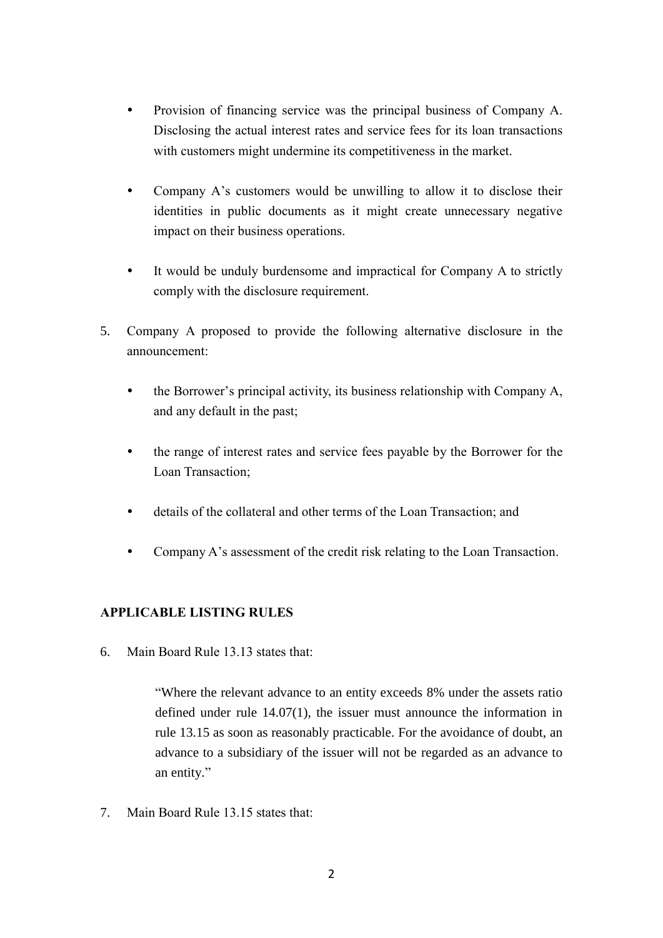- Provision of financing service was the principal business of Company A. Disclosing the actual interest rates and service fees for its loan transactions with customers might undermine its competitiveness in the market.
- Company A's customers would be unwilling to allow it to disclose their identities in public documents as it might create unnecessary negative impact on their business operations.
- It would be unduly burdensome and impractical for Company A to strictly comply with the disclosure requirement.
- 5. Company A proposed to provide the following alternative disclosure in the announcement:
	- the Borrower's principal activity, its business relationship with Company A, and any default in the past;
	- the range of interest rates and service fees payable by the Borrower for the Loan Transaction;
	- details of the collateral and other terms of the Loan Transaction; and
	- Company A's assessment of the credit risk relating to the Loan Transaction.

## **APPLICABLE LISTING RULES**

6. Main Board Rule 13.13 states that:

"Where the relevant advance to an entity exceeds 8% under the assets ratio defined under rule 14.07(1), the issuer must announce the information in rule 13.15 as soon as reasonably practicable. For the avoidance of doubt, an advance to a subsidiary of the issuer will not be regarded as an advance to an entity."

7. Main Board Rule 13.15 states that: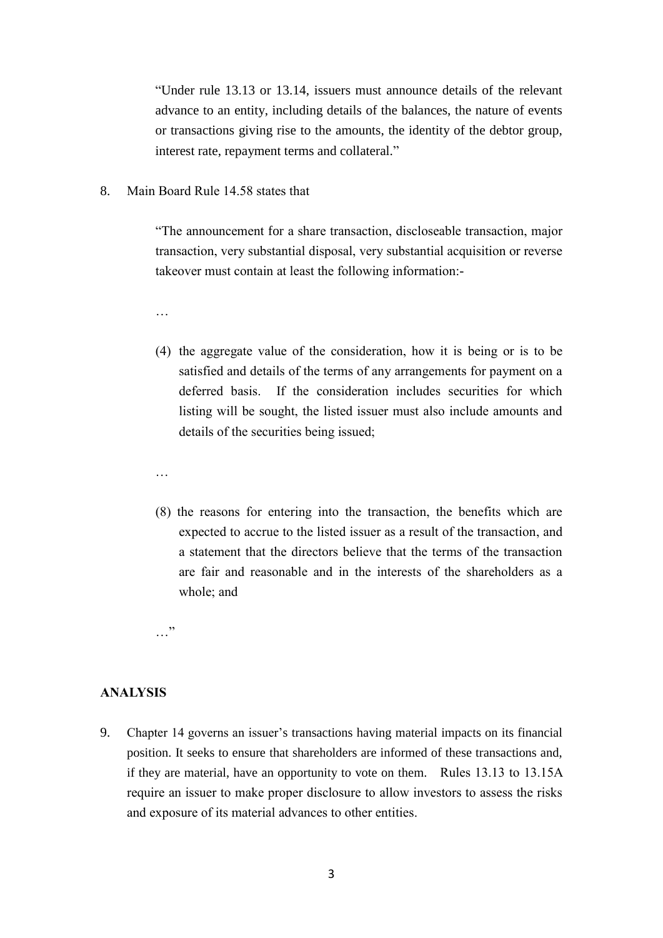"Under rule 13.13 or 13.14, issuers must announce details of the relevant advance to an entity, including details of the balances, the nature of events or transactions giving rise to the amounts, the identity of the debtor group, interest rate, repayment terms and collateral."

8. Main Board Rule 14.58 states that

"The announcement for a share transaction, discloseable transaction, major transaction, very substantial disposal, very substantial acquisition or reverse takeover must contain at least the following information:-

…

- (4) the aggregate value of the consideration, how it is being or is to be satisfied and details of the terms of any arrangements for payment on a deferred basis. If the consideration includes securities for which listing will be sought, the listed issuer must also include amounts and details of the securities being issued;
- …
- (8) the reasons for entering into the transaction, the benefits which are expected to accrue to the listed issuer as a result of the transaction, and a statement that the directors believe that the terms of the transaction are fair and reasonable and in the interests of the shareholders as a whole; and

…"

#### **ANALYSIS**

9. Chapter 14 governs an issuer's transactions having material impacts on its financial position. It seeks to ensure that shareholders are informed of these transactions and, if they are material, have an opportunity to vote on them. Rules 13.13 to 13.15A require an issuer to make proper disclosure to allow investors to assess the risks and exposure of its material advances to other entities.